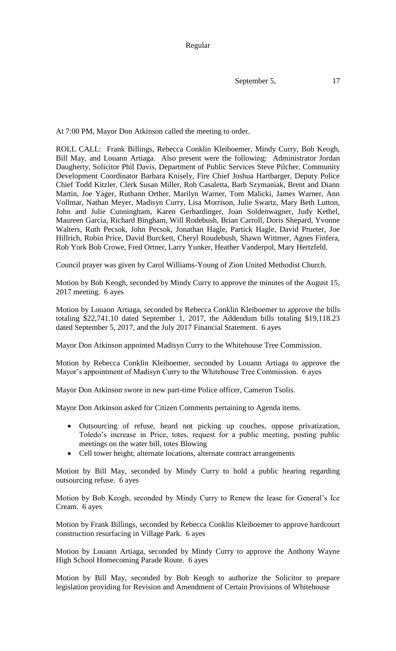Regular

September 5, 17

At 7:00 PM, Mayor Don Atkinson called the meeting to order.

ROLL CALL: Frank Billings, Rebecca Conklin Kleiboemer, Mindy Curry, Bob Keogh, Bill May, and Louann Artiaga. Also present were the following: Administrator Jordan Daugherty, Solicitor Phil Davis, Department of Public Services Steve Pilcher, Community Development Coordinator Barbara Knisely, Fire Chief Joshua Hartbarger, Deputy Police Chief Todd Kitzler, Clerk Susan Miller, Rob Casaletta, Barb Szymaniak, Brent and Diann Martin, Joe Yager, Ruthann Orther, Marilyn Warner, Tom Malicki, James Warner, Ann Vollmar, Nathan Meyer, Madisyn Curry, Lisa Morrison, Julie Swartz, Mary Beth Lutton, John and Julie Cunningham, Karen Gerhardinger, Joan Soldenwagner, Judy Kethel, Maureen Garcia, Richard Bingham, Will Rodebush, Brian Carroll, Doris Shepard, Yvonne Walters, Ruth Pecsok, John Pecsok, Jonathan Hagle, Partick Hagle, David Prueter, Joe Hillrich, Robin Price, David Burckett, Cheryl Roudebush, Shawn Wittmer, Agnes Finfera, Rob York Bob Crowe, Fred Ortner, Larry Yunker, Heather Vanderpol, Mary Hertzfeld.

Council prayer was given by Carol Williams-Young of Zion United Methodist Church.

Motion by Bob Keogh, seconded by Mindy Curry to approve the minutes of the August 15, 2017 meeting. 6 ayes

Motion by Louann Artiaga, seconded by Rebecca Conklin Kleiboemer to approve the bills totaling \$22,741.10 dated September 1, 2017, the Addendum bills totaling \$19,118.23 dated September 5, 2017, and the July 2017 Financial Statement. 6 ayes

Mayor Don Atkinson appointed Madisyn Curry to the Whitehouse Tree Commission.

Motion by Rebecca Conklin Kleiboemer, seconded by Louann Artiaga to approve the Mayor's appointment of Madisyn Curry to the Whitehouse Tree Commission. 6 ayes

Mayor Don Atkinson swore in new part-time Police officer, Cameron Tsolis.

Mayor Don Atkinson asked for Citizen Comments pertaining to Agenda items.

- Outsourcing of refuse, heard not picking up couches, oppose privatization, Toledo's increase in Price, totes, request for a public meeting, posting public meetings on the water bill, totes Blowing
- Cell tower height, alternate locations, alternate contract arrangements

Motion by Bill May, seconded by Mindy Curry to hold a public hearing regarding outsourcing refuse. 6 ayes

Motion by Bob Keogh, seconded by Mindy Curry to Renew the lease for General's Ice Cream. 6 ayes

Motion by Frank Billings, seconded by Rebecca Conklin Kleiboemer to approve hardcourt construction resurfacing in Village Park. 6 ayes

Motion by Louann Artiaga, seconded by Mindy Curry to approve the Anthony Wayne High School Homecoming Parade Route. 6 ayes

Motion by Bill May, seconded by Bob Keogh to authorize the Solicitor to prepare legislation providing for Revision and Amendment of Certain Provisions of Whitehouse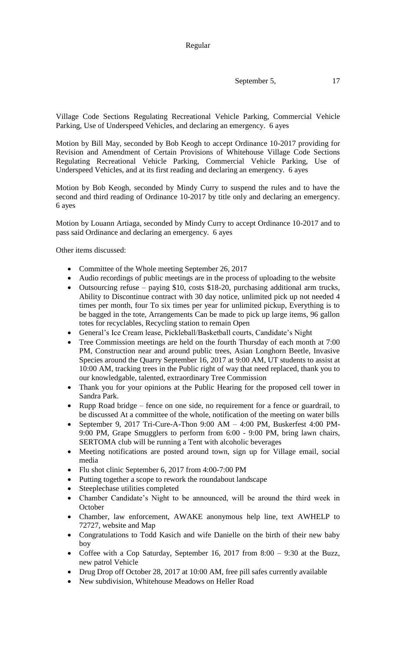September 5, 17

Village Code Sections Regulating Recreational Vehicle Parking, Commercial Vehicle Parking, Use of Underspeed Vehicles, and declaring an emergency. 6 ayes

Motion by Bill May, seconded by Bob Keogh to accept Ordinance 10-2017 providing for Revision and Amendment of Certain Provisions of Whitehouse Village Code Sections Regulating Recreational Vehicle Parking, Commercial Vehicle Parking, Use of Underspeed Vehicles, and at its first reading and declaring an emergency. 6 ayes

Motion by Bob Keogh, seconded by Mindy Curry to suspend the rules and to have the second and third reading of Ordinance 10-2017 by title only and declaring an emergency. 6 ayes

Motion by Louann Artiaga, seconded by Mindy Curry to accept Ordinance 10-2017 and to pass said Ordinance and declaring an emergency. 6 ayes

Other items discussed:

- Committee of the Whole meeting September 26, 2017
- Audio recordings of public meetings are in the process of uploading to the website
- Outsourcing refuse paying \$10, costs \$18-20, purchasing additional arm trucks, Ability to Discontinue contract with 30 day notice, unlimited pick up not needed 4 times per month, four To six times per year for unlimited pickup, Everything is to be bagged in the tote, Arrangements Can be made to pick up large items, 96 gallon totes for recyclables, Recycling station to remain Open
- General's Ice Cream lease, Pickleball/Basketball courts, Candidate's Night
- Tree Commission meetings are held on the fourth Thursday of each month at 7:00 PM, Construction near and around public trees, Asian Longhorn Beetle, Invasive Species around the Quarry September 16, 2017 at 9:00 AM, UT students to assist at 10:00 AM, tracking trees in the Public right of way that need replaced, thank you to our knowledgable, talented, extraordinary Tree Commission
- Thank you for your opinions at the Public Hearing for the proposed cell tower in Sandra Park.
- Rupp Road bridge fence on one side, no requirement for a fence or guardrail, to be discussed At a committee of the whole, notification of the meeting on water bills
- September 9, 2017 Tri-Cure-A-Thon 9:00 AM 4:00 PM, Buskerfest 4:00 PM-9:00 PM, Grape Smugglers to perform from 6:00 - 9:00 PM, bring lawn chairs, SERTOMA club will be running a Tent with alcoholic beverages
- Meeting notifications are posted around town, sign up for Village email, social media
- Flu shot clinic September 6, 2017 from 4:00-7:00 PM
- Putting together a scope to rework the roundabout landscape
- Steeplechase utilities completed
- Chamber Candidate's Night to be announced, will be around the third week in **October**
- Chamber, law enforcement, AWAKE anonymous help line, text AWHELP to 72727, website and Map
- Congratulations to Todd Kasich and wife Danielle on the birth of their new baby boy
- Coffee with a Cop Saturday, September 16, 2017 from 8:00 9:30 at the Buzz, new patrol Vehicle
- Drug Drop off October 28, 2017 at 10:00 AM, free pill safes currently available
- New subdivision, Whitehouse Meadows on Heller Road